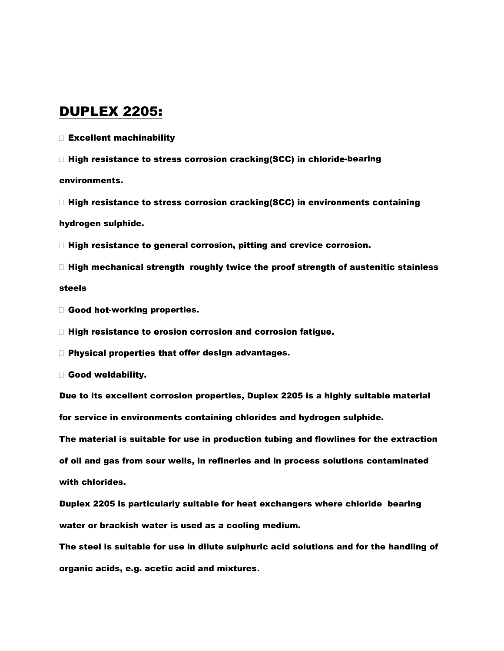#### DUPLEX 2205:

Excellent machinability

 $\Box$  High resistance to stress corrosion cracking(SCC) in chloride-bearing

environments.

 $\Box$  High resistance to stress corrosion cracking(SCC) in environments containing hydrogen sulphide.

 $\Box$  High resistance to general corrosion, pitting and crevice corrosion.

- $\Box$  High mechanical strength roughly twice the proof strength of austenitic stainless steels
- Good hot-working properties.

□ High resistance to erosion corrosion and corrosion fatigue.

 $\square$  Physical properties that offer design advantages.

Good weldability.

Due to its excellent corrosion properties, Duplex 2205 is a highly suitable material for service in environments containing chlorides and hydrogen sulphide.

The material is suitable for use in production tubing and flowlines for the extraction of oil and gas from sour wells, in refineries and in process solutions contaminated with chlorides.

Duplex 2205 is particularly suitable for heat exchangers where chloride bearing water or brackish water is used as a cooling medium.

The steel is suitable for use in dilute sulphuric acid solutions and for the handling of organic acids, e.g. acetic acid and mixtures**.**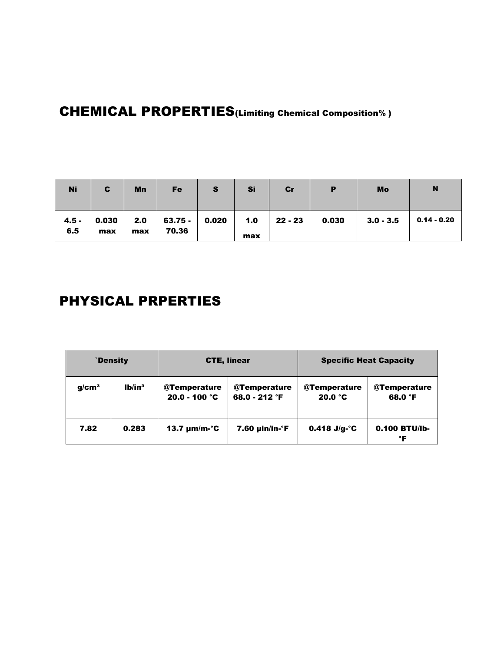# CHEMICAL PROPERTIES(Limiting Chemical Composition**%** )

| <b>Ni</b>      | C            | Mn         | <b>Fe</b>                    | S | Si  | Cr            | Р     | Mo          | N           |
|----------------|--------------|------------|------------------------------|---|-----|---------------|-------|-------------|-------------|
| $4.5 -$<br>6.5 | 0.030<br>max | 2.0<br>max | $63.75 -   0.020  $<br>70.36 |   | max | $1.0$ 22 - 23 | 0.030 | $3.0 - 3.5$ | 0.14 - 0.20 |

# PHYSICAL PRPERTIES

|                   | `Density           |                                 | <b>CTE, linear</b>             | <b>Specific Heat Capacity</b>             |                         |  |  |
|-------------------|--------------------|---------------------------------|--------------------------------|-------------------------------------------|-------------------------|--|--|
| g/cm <sup>3</sup> | Ib/in <sup>3</sup> | @Temperature<br>$20.0 - 100 °C$ | @Temperature<br>68.0 - 212 °F  | @Temperature<br>$20.0 \text{ }^{\circ}$ C | @Temperature<br>68.0 °F |  |  |
| 7.82              | 0.283              | 13.7 $\mu$ m/m-°C               | $7.60 \mu$ in/in- $\epsilon$ F | $0.418$ J/g-°C                            | $0.100$ BTU/Ib-<br>°F   |  |  |